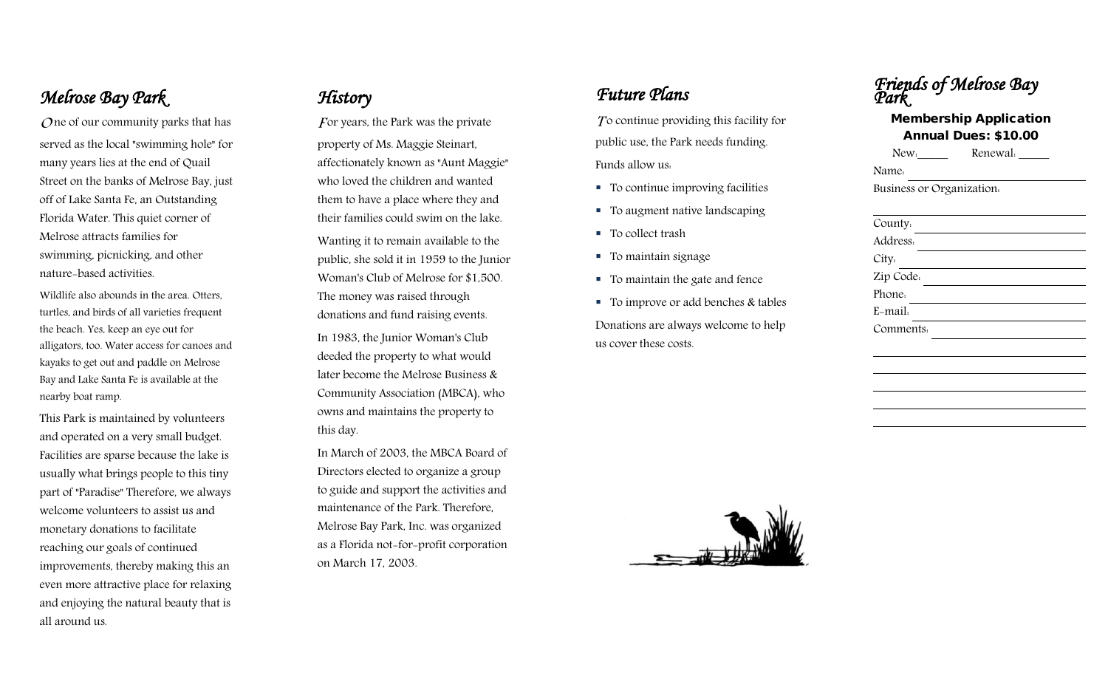### *Melrose Bay Park*

 $\Omega$  ne of our community parks that has served as the local "swimming hole" for many years lies at the end of Quail Street on the banks of Melrose Bay, just off of Lake Santa Fe, an Outstanding Florida Water. This quiet corner of Melrose attracts families for swimming, picnicking, and other nature -based activities.

Wildlife also abounds in the area. Otters, turtles, and birds of all varieties frequent the beach. Yes, keep an eye out for alligators, too. Water access for canoes and kayaks to get out and paddle on Melrose Bay and Lake Santa Fe is available at the nearby boat ramp.

This Park is maintained by volunteers and operated on a very small budget. Facilities are sparse because the lake is usually what brings people to this tiny part of "Paradise" Therefore, we always welcome volunteers to assist us and monetary donations to facilitate reaching our goals of continued improvements, thereby making this an even more attractive place for relaxing and enjoying the natural beauty that is all around us.

#### *History*

For years, the Park was the private property of Ms. Maggie Steinart, affectionately known as "Aunt Maggie" who loved the children and wanted them to have a place where they and their families could swim on the lake. Wanting it to remain available to the public, she sold it in 1959 to the Junior Woman's Club of Melrose for \$1,500. The money was raised through donations and fund raising events. In 1983, the Junior Woman's Club deeded the property to what would later become the Melrose Business & Community Assoc iation (MBCA), who owns and maintains the property to this day.

In March of 2003, the MBCA Board of Directors elected to organize a group to guide and support the activities and maintenance of the Park. Therefore, Melrose Bay Park, Inc. was organized as a Florida not -for -profit corporation on March 17, 2003.

## *Future Plans*

 $\Gamma$  continue providing this facility for public use, the Park needs funding. Funds allow us :

- To continue improving facilities
- To augment native landscaping
- To collect trash
- To maintain signage
- To maintain the gate and fence
- $\blacksquare$  To improve or add benches & tables Donations are always welcome to help us cover these costs.

| <b>'Parr</b>                                                 |                                                                                                                                                                                                                                |
|--------------------------------------------------------------|--------------------------------------------------------------------------------------------------------------------------------------------------------------------------------------------------------------------------------|
| <b>Membership Application</b><br><b>Annual Dues: \$10.00</b> |                                                                                                                                                                                                                                |
|                                                              | New. lettermanner Renewal. Lettermanner Renewal. Lettermanner Renewal. Lettermanner Renewal. Lettermanner Renewal. Lettermanner Renewal. Lettermanner Renewal. Lettermanner Renewal. Lettermanner Renewal. Lettermanner Renewa |
| Name.                                                        |                                                                                                                                                                                                                                |
| Business or Organization.                                    |                                                                                                                                                                                                                                |
|                                                              |                                                                                                                                                                                                                                |
| County.                                                      |                                                                                                                                                                                                                                |
| Address.                                                     |                                                                                                                                                                                                                                |
| City.                                                        | the control of the control of the control of                                                                                                                                                                                   |
| Zip Code.                                                    |                                                                                                                                                                                                                                |
| Phone.                                                       |                                                                                                                                                                                                                                |
| E-mail.                                                      |                                                                                                                                                                                                                                |
| Comments.                                                    |                                                                                                                                                                                                                                |
|                                                              |                                                                                                                                                                                                                                |
|                                                              |                                                                                                                                                                                                                                |
|                                                              |                                                                                                                                                                                                                                |
|                                                              |                                                                                                                                                                                                                                |
|                                                              |                                                                                                                                                                                                                                |

*Friends of Melrose Bav*